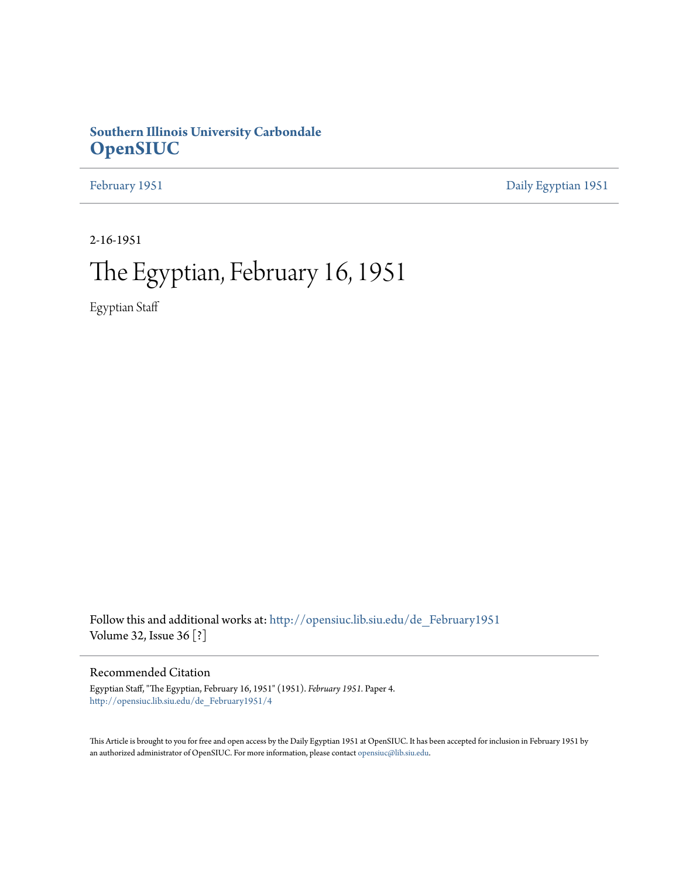## **Southern Illinois University Carbondale [OpenSIUC](http://opensiuc.lib.siu.edu?utm_source=opensiuc.lib.siu.edu%2Fde_February1951%2F4&utm_medium=PDF&utm_campaign=PDFCoverPages)**

[February 1951](http://opensiuc.lib.siu.edu/de_February1951?utm_source=opensiuc.lib.siu.edu%2Fde_February1951%2F4&utm_medium=PDF&utm_campaign=PDFCoverPages) [Daily Egyptian 1951](http://opensiuc.lib.siu.edu/de_1951?utm_source=opensiuc.lib.siu.edu%2Fde_February1951%2F4&utm_medium=PDF&utm_campaign=PDFCoverPages)

2-16-1951

## The Egyptian, February 16, 1951

Egyptian Staff

Follow this and additional works at: [http://opensiuc.lib.siu.edu/de\\_February1951](http://opensiuc.lib.siu.edu/de_February1951?utm_source=opensiuc.lib.siu.edu%2Fde_February1951%2F4&utm_medium=PDF&utm_campaign=PDFCoverPages) Volume 32, Issue 36 [?]

### Recommended Citation

Egyptian Staff, "The Egyptian, February 16, 1951" (1951). *February 1951.* Paper 4. [http://opensiuc.lib.siu.edu/de\\_February1951/4](http://opensiuc.lib.siu.edu/de_February1951/4?utm_source=opensiuc.lib.siu.edu%2Fde_February1951%2F4&utm_medium=PDF&utm_campaign=PDFCoverPages)

This Article is brought to you for free and open access by the Daily Egyptian 1951 at OpenSIUC. It has been accepted for inclusion in February 1951 by an authorized administrator of OpenSIUC. For more information, please contact [opensiuc@lib.siu.edu.](mailto:opensiuc@lib.siu.edu)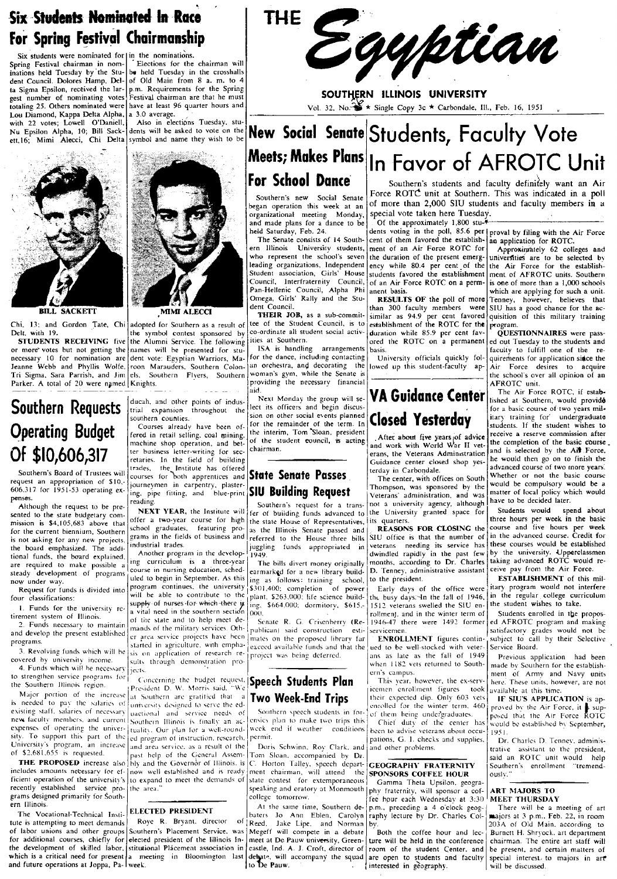## Six Students Nominated In Race For Spring Festival Chairmanship

Six students were nominated for  $|$  in the nominations. Spring Festival chairman in nominations held Tuesday by the Student Council. Dolores Hamp. Delta Sigma Epsilon. received the largest number of nominating votes totaling 25. Others nominated were Lou Diamond, Kappa Delta Alpha, with 22 votes; Lowell O'Daniell, Nu Epsilon Alpha, 10; Bill ett,16; Mimi Alecci, Chi Delta symbol and name they wish to be

. Elections for the chairman will be held Tuesday in the crosshalls of Old Main from 8 a. m. to 4 p.m. Requirements for the Spring Festival chairman are that he must have at least 96 quarter hours and<br>a 3.0 average.

Also in elections Tuesday. students will be asked to vote on the



**BILL SACKETT** 

or more votes but not getting the names will be presented for stu-<br>necessary 10 for nomination are dent vote: Egyptian Warriors, Ma-<br>for the dance, including contacting necessary 10 for nomination are dent vote: Egyptian Warriors, Ma- for the dance, including contacting<br>Jeanne Webb and Phyllis Wolfe, roon Marauders, Southern Colon-1<sup>an</sup> orchestra, and decorating the Tri Sigma, Sara Parrish, and Jim els. Southern Flyers, Southern woman's gym, while the Senate is<br>Parker, A total of 20 were named Knights

# **Operating Budget**<br>
Courses already have been of-for the remainder of the term. In **CODECL TESTETUSY**<br>
Fered in retail selling, coal mining. the interim, Tom Sloan, president<br>
machine shop operation, and bet- of the studen



MMI ALECCI

Delt, with 19. The symbol contest sponsored by co-ordinate all student social activ-<br>STUDENTS RECEIVING five the Alumni Service. The following ities at Southern.

Southern's Board of Trustees will cross for both apprentices and **State Senate Passes**<br>
request an appropriation of  $\frac{10}{10}$  courses for both apprentices and **State Senate Passes**<br>
For our specifical courses in carbona

tirement system of Illinois.<br>
The Indian of Illinois. - a Vital need in the southern section (000).<br>
The system of Illinois.<br>
The Second of Indian of the state and to help meet de-<br>
Senate R. G. Crisenberry (Re-1946-47 the  $\frac{1}{2}$ . Funds necessary to maintain of the state and to help meet de-<br>Funds necessary to maintain mands of the military services. Oth-<br>develop the present ertablished mands of the military services. Oth-publican) said and develop the present established  $\begin{bmatrix} \text{m} \text{and } \text{m} \text{and}} \text{for} \text{ are}} \begin{bmatrix} \text{m} \text{and}} \text{m} \text{and}} \end{bmatrix}$  area service projects have been  $\begin{bmatrix} \text{m} \text{and}} \text{an} \text{and}} \end{bmatrix}$  and construction esti- $\begin{bmatrix} \text{sevi}' \text{and}} \text{sevi}' \$ er area service projects have been  $\begin{bmatrix} 1 & 0 & 0 \\ 0 & 0 & 0 \\ 0 & 0 & 0 \end{bmatrix}$  and the proposed library far Enrich started in agriculture. with empha- $\begin{bmatrix} 2 & 0 & 0 \\ 0 & 0 & 0 \\ 0 & 0 & 0 \end{bmatrix}$  exceed available funds and that th programs.<br>3. Revolving funds which will be six on application of research re- exceed available funds and that the ued to be well-stocked with veter-<br>3. Revolving funds which will be six on application of research re- proje and develop the present established the rate as service projects have been mates on the proposed library far<br>as the service projects have been mates on the proposed library far **ENROLLMENT** figures continuition external<br>3.

THE Egyptian

SOUTHERN ILLINOIS UNIVERSITY Vol. 32. No: $\mathcal{X}$  \* Single Copy 3c \* Carbondale, Ill., Feb. 16, 1951

## New Social Senate  $Students$ , Faculty Vote Meets; Makes Plans In Favor of AFROTC Unit For School Dance

began operation this week at an organizational meeting Monday, and made plans for a dance to be held Saturday, Feb. 24.

The Senate consists of 14 Southern Illinois University students, who represent the school's seven leading organizations, Independent Student association, Girls' House Councit, lnterfraternity Council, Pan·Hellenic Council, Alpha Phi Omega, Girls' Rally and the Student Council.

**THEIR JOB, as a sub-commit-**<br>tee of the Student Council, is to Chi. 13; and Gordon Tate, Chi adopted for Southern as a result of the Student Council, is to Delt. with 19.

Froon Marauders. Southern Colon- an orchestra, and decorating the els. Southern Flyers, Southern woman's gym, while the Senate is Parker~ A total of 20 were nfmed Knights. . providing the necessary financial - - ----- ----- aid.

Southern Requests ducah, and other points of indus- Next Monday the group will se-<br>southern equipment equipment equipment is officers and begin discus-<br>sion on other social events planned sion on other social events planned

Although the request to be pre-<br>Although the request to be pre-<br>Southern's request for a trans-<br>sented to the state budgetary com-<br>mission is \$4.105.683 above that offer a two-year course for high the state House of Repres mission is \$4,105,683 above that offer a two-year course for high the state House of Representatives, its quarters.<br>for the current high ium Southers school graduates, featuring pro- as the Illinois Senate passed and **REA** for the current biennium, Southern school. graduates. featuring pro- as the Illinois Senate passed and **REASONS FOR CLOSING** the is not asking for any new projects, grams in the fields of business and referred to the House three bills SIU office is that the number of the fields of business and referred to the House three bills  $\sum_{n=1}^{\infty}$  (veloc the board emphasized. The addi- Industrial trades.<br>tional funds, the board explained. Another program in the develop-1949.

are required to make possible a ing curriculum is a three-year. The bills divert money originally months, according to Dr. Charles<br>steady development of programs course in nursing education, sched~ earmarked for a new libr steady development of programs died to begin in September. As this ing as follows: training school, to the president.<br>The program continues, the university \$301,400; completion of power Early days of Request for funds is divided into program continues, the university \$301,400; completion of power Early days of the office were<br>four classifications: will be able to contribute to the plant, \$263,000; life science build-<br> four classifications:<br>
l. Funds for the university re- surply of nurses for which there is  $\frac{1}{2}$  ing. \$664.000; dormitory, \$615,- 1512 veterans swelled the SIU en-<br>
1. Funds for the university re-<br>
a vital need in the

new faculty members, and current Southern Illinois is finally an ac- environment in Illinois this chief duty of the center has even the control be- the center has equipped that the strip of the center has would be establis

 $\begin{array}{c|c|c|c|c|c|c|c|c} \text{S2,681,655} & \text{sequested.} \end{array}$  past help of the General Assem- Tom Sloan. accompanied by Dr.  $\begin{array}{c|c|c|c|c|c} \text{S2,681,655} & \text{S3id} & \text{R } \text{OTC} & \text{unit would help} \end{array}$ C. Horton Talley, speech depart- **GEOGRAPHY FRATERNITY** Southern's enrollment "tremend-<br>ment chairman, will attend the **SPONSORS COFFEE HOUR** Ously." includes amounts necessary for ef- now well established and is ready ment chairman, will attend the ficient operation of the university's to expand to meet the demands of state contest for extemporaneous Ficient operation of the university's to expand to meet the demands of state contest for extemporaneous. CONTREL HOUR<br>The expanding the stablished service pro-<br>the area." Speaking and oratory at Monmouth the fraternity wil recently established service pro- the area."<br>grams designed primarily for South-<br>college tomorrow. The hour each Wednesday at 3:30 MEET THURSDAY

ern Illinois.<br>The Vocational-Technical Institute of the Same There will be a meeting of art the same time, Southern de- p.m., preceding a 4 o'clock geog- There will be a meeting of art be a meeting of art because of the an The Vocational-Technical Institute LELECTED PRESIDENT baters Jo Ann Eblen. Carolyn raphy lecture by Dr. Charles Col- majors at 3 p.m.. Feb. 22, in room<br>tute is attempting to meet demands Roye R. Bryant. director of Reed. J tute is attempting to meet demands Roye R. Bryant. director of Reed, Jake Lipe, and Norman of labor unions and other groups Southern's Placement Service, was Megeff will compete in a debate of labor unions and other groups Southern's Placement Service. was Megeff will compete in a debate Both the coffee hour and lec- Burnett H. Shryock. art department for additional courses, chiefly for elected president of t for additional courses, chiefly for elected president of the Illinois In-<br>the development of skilled labor, stitutional Placement association in castle, Ind. A. J. Croft, director of room of the student Center, and he pres

Southern's students and faculty definitely want an Air Force ROTC unit at Southern. This was indicated in a poll of more than 2,000 SIU students and faculty members in a special vote taken here Tuesday.<br>
Of the approximately 1,800 stu-

dents voting in the poll, 85.6 per proval by filing with the Air Force<br>cent of them favored the establish- an application for ROTC. cent of them favored the establish-<br>ment of an Air Force ROTC for ency while 80.4 per cent of the students favored the establishment

duration while 85.9 per cent fav-<br>  $\begin{bmatrix} 1 & 0 \ 0 & 0 \end{bmatrix}$   $\begin{bmatrix} 0 & 0 \ 0 & 0 \end{bmatrix}$   $\begin{bmatrix} 0 & 0 \ 0 & 0 \end{bmatrix}$  are pass-<br>ored the ROTC on a permanent ed out Tuesday to the students and

## VA Guidance Center Closed Yesterday

The term is the sec-<br>
The sec-<br>
The contract erans of the Vetera. The Veteral of the Veteral of the Veteral of the Veteral of the Veteral of the Veteral of the Veteral of the Veteral of the Vetera.<br>
The Campion of the Camp Guidance center closed shop yes-

request an appropriation of \$10. Southern in carpentry, plaster.<br>
606.317 for 1951-53 operating ex-<br>
Penses.<br>
The center, with virtues on over the center of the center of the center of the center of the center of the cente

the board emphasized. The addi-<br>tional funds, the board explained, and the action of the property is a three-year of the part of the past few<br>are required to make possible a ing curriculum is a three-year The bills divert

Major portion of the increase at Southern are gratited that a **Two Week-End Trips** their expected dip. Only 603 vets **IF SIU'S APPLICATION** is ap-<br>is needed to pay the salaries of university designed to serve the ed-<br>seri

expenses of operating the univer-<br>sity. To support this part of the ed program of instruction, research, permit.<br>Interval and support this part of the ed program of instruction, research, permit. ed program of instruction, research. permit.<br>and area service, as a result of the Doris Schwinn, Roy Clark, and and other problems. The complies. The contraction of the president.

and future operations at Joppa, Pa- week. to be Pauw. to be Pauw. . interested in geography. Will be discussed.

ment of an Air Force ROTC for Approximately 62 colleges and the duration of the present emerg- universities are to be selected by universities are to be selected by the Air Force for the establishment of AFROTC units. Southern of an Air Force ROTC on a perm- is one of more than a 1,000 schools anent basis. and basis.<br> **RESULTS OF** the poll of more Tenney, however, believes that **RESULTS OF** the poll of more Tenney, however, believes that than 300 faculty members were SIU has a good chance for the ac-SIU has a good chance for the ac-<br>quisition of this military training similar as 94.9 per cent favored quisition of this military training establishment of the ROTC for the program.

ored the ROTC on a permanent ed out Tuesday to the students and basis. faculty to fulfill one of the re-University officials quickly fol- quirements for application since the lowed up this student-faculty  $ap = |Air|$  Force desires to acquire Air Force desires to acquire *the* school's over all opinion of an AFROTC unit.

The Air Force ROTC. if estab· lished at Southern, would provide for a basic course of-two years mil· itary training for undergraduate students. If the student wishes to receive a reserve commission after the completion of the basic course\_ and is selected by the Ail Force. he would then go on to finish the advanced course of two more years: Whether or not the basic course would be compulsory would be a matter of local policy which would have to be decided later.

Students would spend about three hours per week. in the basic course and five hours per week in the advanced cOurse. Credit for these courses would be established by the university. Upperclassmen taking advanced ROTC would receive pay from the Air Force.

ESTABLISHMENT of this military program would not interfere in the regular college curriculum the student wishes to take.

Students enrolled in tbe proposed AFROTC program and making satisfactory grades would not be subject to call by their Selective<br>Service Board.

4. Funds which will he necessary sources to example the monstration pro-<br>
to strengthen service programs for concerning the budget request. **Speech Students Plan** the southern the ex-serv-<br>
the Southern Hinois region. Prov Solventry in the solution of the solution of the solution of the network of the solution of the network of the solution of the network of the solution of the network of the solution of the solution of the solution of the s

is needed to pay the salaries of university designed to serve the ed-<br>existing staff, salaries of necessary unctional and service needs of Southern speech students in for-<br>new faculty members, and current Southern Illinois

University's program, an increase and area service, as a result of the Doris Schwinn, Roy Clark, and Jand other problems. The Doris Little assistant to the president, the product of the General Assem-<br>
Tom Sloan, accompani

Stitutional Placement association in castle, Ind. A. J. Croft. director of room of the student Center. and be present, and certain matters of a meeting in Bloomington last dehate, will accompany the squad are open to stude which is a critical need for present a meeting in Bloomington last deepare, will accompany the squad are open to students and faculty special interest- to majors in art and future operations at Joppa, Pa- week.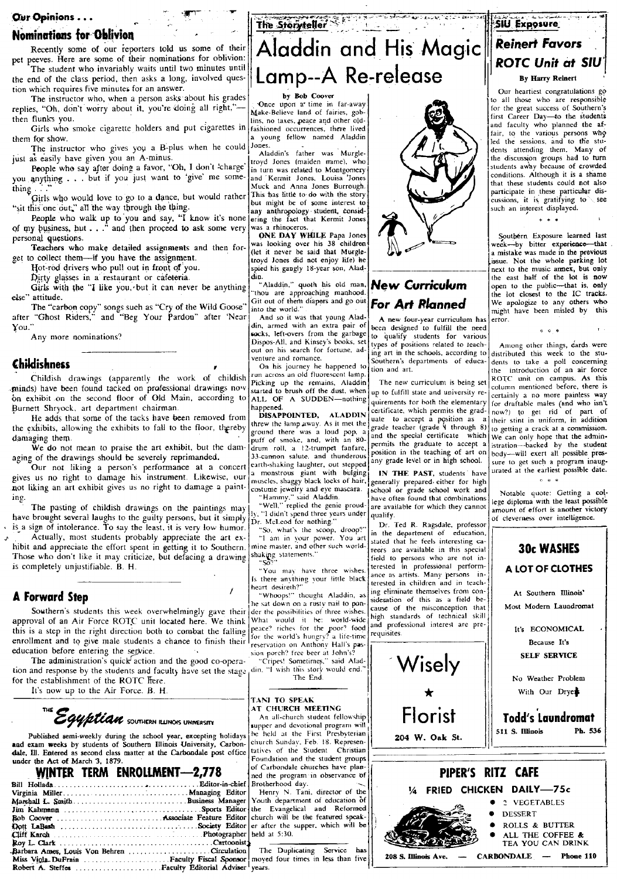#### **Nominations for Oblivion**

Recently some of our reporters told us some of their pet peeves. Here are some of their nominations for oblivion:

The student who invariably waits until two minutes until the end of the class period, then asks a long, involved question which requires five minutes for an answer.

The instructor who, when a person asks about his grades replies, "Oh, don't worry about it, you're doing all right," then flunks you.

Girls who smoke cigarette holders and put cigarettes in them for show.

The instructor who gives you a B-plus when he could just as easily have given you an A-minus.

People who say after doing a favor, "Oh, I don't 'charge' you anything . . . but if you just want to 'give' me something

Girls who would love to go to a dance, but would rather "sit this one out," all the way through the thing.

People who walk up to you and say, "I know it's none<br>of my business, but . . ." and then proceed to ask some very personal questions.

Teachers who make detailed assignments and then forget to collect them-if you have the assignment.

Hot-rod drivers who pull out in front of you.

Dirty glasses in a restaurant or cafeteria.

Girls with the "I like you, but it can never be anything else" attitude.

The "carbon copy" songs such as "Cry of the Wild Goose"<br>after "Ghost Riders," and "Beg Your Pardon" after 'Near You."

Any more nominations?

#### Childishness

Childish drawings (apparently the work of childish minds) have been found tacked on professional drawings now on exhibit on the second floor of Old Main, according to Burnett Shryock, art department chairman.

He adds that some of the tacks have been removed from the exhibits, allowing the exhibits to fall to the floor, thereby damaging them.

We do not mean to praise the art exhibit, but the damaging of the drawings should be severely reprimanded.

Our not liking a person's performance at a concert gives us no right to damage his instrument. Likewise, our not liking an art exhibit gives us no right to damage a painting.

The pasting of childish drawings on the paintings may have brought several laughs to the guilty persons, but it simply is a sign of intolerance. To say the least, it is very low humor.

Actually, most students probably appreciate the art exhibit and appreciate the effort spent in getting it to Southern. Those who don't like it may criticize, but defacing a drawing is completely unjustifiable. B. H.

#### **A Forward Step**

Southern's students this week overwhelmingly gave their approval of an Air Force ROTC unit located here. We think this is a step in the right direction both to combat the falling enrollment and to give male students a chance to finish their education before entering the service.

The administration's quick action and the good co-operation and response by the students and faculty have set the stage for the establishment of the ROTC frere.

It's now up to the Air Force. B. H.



Published semi-weekly during the school year, excepting holidays and exam weeks by students of Southern Illinois University, Carbondale, Ill. Entered as second class matter at the Carbondale post office under the Act of March 3, 1879.

|                                             |  | WINTER TERM ENROLLMENT-2,778         |  |
|---------------------------------------------|--|--------------------------------------|--|
|                                             |  |                                      |  |
|                                             |  |                                      |  |
|                                             |  |                                      |  |
|                                             |  |                                      |  |
|                                             |  | Rob Coover  Associate Feature Editor |  |
|                                             |  |                                      |  |
|                                             |  |                                      |  |
|                                             |  |                                      |  |
| Barbara Ames, Louis Von Behren Circulation  |  |                                      |  |
| Miss Viola. DuFrain  Faculty Fiscal Sponsor |  |                                      |  |
|                                             |  |                                      |  |
|                                             |  |                                      |  |

The Storyteller Aladdin and His Magic

Lamp--A Re-release

#### by Bob Coover

Once upon a time in far-away<br>Make-Believe land of fairies, goblins, no taxes, peace and other oldfashioned occurrences, there lived young fellow named Aladdin Jones.

Aladdin's father was Murgletroyd Jones (maiden mame), who in turn was related to Montgomery and Kermit Jones, Louisa Jones<br>Muck and Anna Jones Burrough. This has little to do with the story but might be of some interest to any anthropology student, considering the fact that Kermit Jones was a rhinoceros.

ONE DAY WHILE Papa Jones was looking over his 38 children (let it never be said that Murgletroyd Jones did not enjoy life) he spied his gangly 18-year son, Aladdin.

"Aladdin," quoth his old man, "thou are approaching manhood Git out of them diapers and go out<br>into the world."

And so it was that young Aladdin, armed with an extra pair of socks, left-overs from the garbage Dispos-All, and Kinsey's books, set<br>out on his search for fortune, adventure and romance.

On his journey he happened to run across an old fluorescent lamp. Picking up the remains. Aladdin started to brush off the dust, when ALL OF A SUDDEN-nothing happened.

DISAPPOINTED, **ALADDIN** threw the lamp away. As it met the<br>ground there was a loud pop, a puff of smoke, and, with an 80drum roll, a 12-trumpet fanfare, 33-cannon salute, and thunderous earth-shaking laughter, out stepped a monstrous giant with bulging muscles, shaggy black locks of hair,

masters, singly nuclear order master<br>
"Hammy," said Aladdin.<br>
"Well," replied the genie proud-<br>
ly, "I didn't spend three years under Dr. McLeod for nothing.

"So, what's the scoop, droop?"<br>"I am in your power. You art<br>mine master, and other such worldshaking statements.

"You may have three wishes. Is there anything your little black heart desireth?'

"Whoops!" thought Aladdin, a he sat down on a rusty nail to ponder the possibilities of three wishes. What would it be: world-wide peace? riches for the poor? food<br>for the world's hungry? a life-time reservation on Anthony Hall's pas

sion porch? free beer at John's?<br>"Cripes! Sometimes," said Alad-<br>din, "I wish this story would end." The End.



AT CHURCH MEETING An all-church student fellowship supper and devotional program will be held at the First Presbyterian church Sunday, Feb. 18. Representatives of the Student Christian Foundation and the student groups of Carbondale churches have planned the program in observance of Brotherhood day. Henry N. Tani, director of the

Youth department of education of the Evangelical and Reformed church will be the featured speaker after the supper, which will be held at 5:30.

The Duplicating Service moved four times in less than five years



### **New Curriculum For Art Rlanned**

A new four-year curriculum has been designed to fulfill the need qualify students for various to types of positions related to teaching art in the schools, according to Southern's departments of education and art.

The new curriculum is being set up to fulfill state and university requirements for both the elementary certificate, which permits the graduate to accept a position as a grade teacher (grade V through 8) and the special certificate which permits the graduate to accept a<br>position in the teaching of art on any grade level or in high school.

IN THE PAST, students' have generally prepared either for high<br>school or grade school work and have often found that combinations are available for which they cannot qualify.

Dr. Ted R. Ragsdale, professor in the department of education stated that he feels interesting careers are available in this special field to persons who are not in-<br>terested in professional performance as artists. Many persons interested in children and in teaching eliminate themselves from consideration of this as a field be-<br>cause of the misconception that high standards of technical skill and professional interest are pre requisites





## SIU Exposure **Reinert Favors** ROTC Unit at SIU By Harry Reinert

Our heartiest congratulations go to all those who are responsible for the great success of Southern's first Career Day-to the students and faculty who planned the af-<br>fair, to the various persons who led the sessions, and to the students attending them. Many of the discussion groups had to turn<br>students away because of crowded conditions. Although it is a shame that these students could not also participate in these particular dis-<br>cussions, it is gratifying to such an interest displayed.

 $\epsilon$   $\epsilon$   $\epsilon$ 

Southern Exposure learned last week---by bitter experience----that<br>a mistake was made in the previous issue. Not the whole parking lot next to the music annex, but only the east half of the lot is now<br>open to the public---that is, only the lot closest to the IC tracks. We apologize to any others who might have been misled by this error.

 $6.6.6$ 

Among other things, dards were distributed this week to the students to take a poll concerning introduction of an air force the ROTC unit on campus. As this column mentioned before, there is certainly a no more painless way for draftable males (and who isn't now?) to get rid of part of<br>their stint in uniform, in addition to getting a crack at a commission. We can only hope that the administration-backed by the student body--will exert all possible pressure to get such a program inaugurated at the earliest possible date.  $\mathbf{r}$  . As a set

Notable quote: Getting a college diploma with the least possible amount of effort is another victory of cleverness over intelligence.

**30c WASHES** A LOT OF CLOTHES

At Southern Illinois' Most Modern Laundromat

> It's ECONOMICAL Because It's **SELF SERVICE**

No Weather Problem With Our Dryer

**Todd's Laundromat**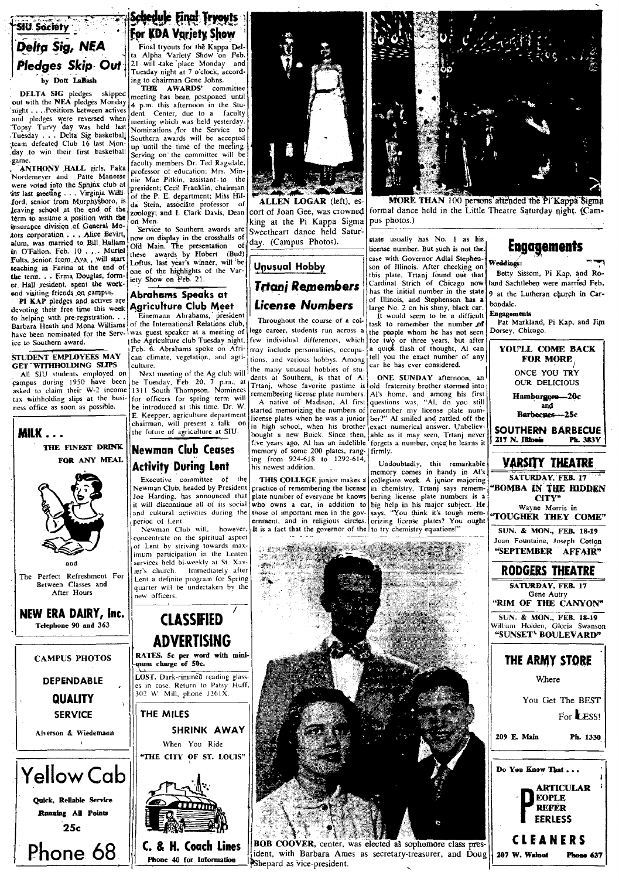## **SIU** Society Delta Sig, NEA Pledges Skip Out by Dott LaBash

**DELTA SIG** pledges skipped<br>out with the **NEA** pledges Monday<br>'night . . .Positions between actives and pledges were reversed when Topsy Turvy day was held last<br>Tuesday . . . Delta Sig basketball team defeated Club 16 last Monday to win their first basketball game.

ANTHONY HALL girls, Paka were voted into the Sphinx club at tits last meeting . . . Virginia Williford, senior from Murphysboro, is<br>leaving school at the end of the term to assume a position with the insurance division of General Motors corporation . . . Alice Bevirt, alum, was married to Bill Hallam in O'Fallon, Feb. 10... Muriel<br>Fults, senior from Ava., will start teaching in Farina at the end of the term. . . Erma Douglas, former Hall resident, spent the weekend visiting friends on campus.

PI KAP pledges and actives are devoting their free time this week to helping with pre-registration...<br>Barbara Heath and Mona Williams have been nominated for the Service to Southern award.

STUDENT EMPLOYEES MAY GET WITHHOLDING SLIPS

All SIU students employed on campus during 1950 have been<br>asked to claim their W-2 income tax withholding slips at the business office as soon as possible.



 $25c$ 

## **Schedule Final Tryoyts** For KDA Variety Show

Final tryouts for the Kappa Delta Alpha Variety Show on Feb.<br>21 will take place Monday and Tuesday night at 7 o'clock, according to chairman Gene Johns.

THE AWARDS' committee meeting has been postponed until 4 p.m. this afternoon in the Student<br>dent Center, due to a faculty<br>meeting which was held yesterday. Nominations for the Service to Southern awards will be accepted up until the time of the meeting. Serving on the committee will be faculty members Dr. Ted Ragsdale, professor of education; Mrs. Minnie Mae Pitkin, assistant to the president; Cecil Franklin, chairman of the P. E. department; Miss Hilda Stein, associāte professor of<br>zoology; and I. Clark Davis, Dean on Men.

Service to Southern awards are now on display in the crosshalls of The presentation Old Main. -of these awards by Hobert (Bud)<br>Loftus, last year's winner, will be one of the highlights of the Variety Show on Feb. 21.

#### Abrahams Speaks at Agriculture Club Meet

Einemann Abrahams, president of the International Relations club, was guest speaker at a meeting of the Agriculture club Tuesday night. Feb. 6. Abrahams spoke on African climate, vegetation, and agriculture.

Next meeting of the Ag club will<br>be Tuesday, Feb. 20, 7 p.m., at 1<br>1311 South Thompson. Nominees for officers for spring term will be introduced at this time. Dr. W. E. Keepper, agriculture department chairman, will present a talk on<br>the future of agriculture at SIU.

## **Newman Club Ceases Activity During Lent**

Executive committee of the Newman Club, headed by President Joe Harding, has announced that it will discontinue all of its social and cultural activities during the period of Lent

Newman Club will, however, concentrate on the spiritual aspect of Lent by striving towards maximum participation in the Lenten services held bi-weekly at St. Xavier's church. Immediately after Lent a definite program for Spring new officers.

Phone 40 for Information



ALLEN LOGAR (left), escort of Joan Gee, was crowned king at the Pi Kappa Sigma Sweetheart dance held Saturday. (Campus Photos).

## Unusual Hobby Trtanj Remembers License Numbers

Throughout the course of a college career, students run across a few individual differences, which may include personalities, occupations, and various hobbys. Among the many unusual hobbies of students at Southern, is that of Al Trtanj, whose favorite pastime is old fraternity brother stormed into

started memorizing the numbers of license plates when he was a junior exact numerical answer. University in high school, when his brother exact numerical answer. University bought a new Buick. Since then, aborgets a number, once he learns it license plates when he was a junior memory of some 200 plates, rang-|firmly. ing from 924-618 to 1292-614, his newest addition.

THIS COLLEGE junior makes a practice of remembering the license plate number of everyone he knows ernment, and in religious circles. It is a fact that the governor of the to try chemistry equations!"

**COMMANDER STATE** 

Shepard as vice-president.



MORE THAN 100 persons attended the Pi Kappa Sigma formal dance held in the Little Theatre Saturday night. (Campus photos.)

#### state usually has No. 1 as his license number. But such is not the case with Governor Adlai Stephenson of Illinois. After checking on this plate, Trtanj found out that<br>Cardinal Strich of Chicago now has the initial number in the state of Illinois, and Stephenson has a large No. 2 on his shiny, black car.

It would seem to be a difficult task to remember the number of the people whom he has not seen<br>for two or three years, but after<br>a quick flash of thought, Al can tell you the exact number of any car he has ever considered.

ONE SUNDAY afternoon, an remembering license plate numbers. Al's home, and among his first<br>A native of Madison, Al first questions was, "Al, do you still remember my license plate number?" Al smiled and rattled off the

> Undoubtedly, this remarkable<br>memory comes in handy in Al's collegiate work. A junior majoring in chemistry, Trtanj says remem bering license plate numbers is orizing license plates? You ough



Weddings: Betty Sissom, Pi Kap, and Roland Sachtleben were married Feb. 9 at the Lutheran church in Carbondale.

#### **Engagements**

Pat Markland, Pi Kap, and Jim Dorsey, Chicago.

| <b>FOR MORE</b><br>ONCE YOU TRY<br>l,<br><b>OUR DELICIOUS</b><br>) j<br>t l<br>Hamburgers-20c<br>l<br>and<br>Barbecues---25c<br>SOUTHERN BARBECUE<br>217 N. Illinois<br><b>Ph. 383Y</b><br>t<br><b>VARSITY THEATRE</b><br>s<br>SATURDAY, FEB. 17<br>$\ddot{\phantom{0}}$<br><b>BOMBA IN THE HIDDEN</b><br>2<br>CITY"<br>¢<br>Wayne Morris in<br>"TOUGHER THEY COME"<br>SUN. & MON., FEB.<br>18-19<br>Joan Fountaine, Joseph Cotton<br>"SEPTEMBER AFFAIR"<br><b>RODGERS THEATRE</b><br>SATURDAY, FEB. 17<br>Gene Autry<br>"RIM OF THE CANYON"<br>SUN. & MON., FEB. 18-19<br>William Holden, Gloria<br>Swanson<br>"SUNSET' BOULEVARD"<br>THE ARMY STORE<br>Where<br>You Get The BEST<br>For LESS!<br>209 E. Main<br>Ph. 1330<br>Do You Know That.<br>ł<br>í<br>ARTICULAR<br><b>EOPLE</b><br><b>REFER</b><br><b>EERLESS</b><br>CLEANERS<br>207 W. Walnut<br>Phone 637 |         |                  |
|--------------------------------------------------------------------------------------------------------------------------------------------------------------------------------------------------------------------------------------------------------------------------------------------------------------------------------------------------------------------------------------------------------------------------------------------------------------------------------------------------------------------------------------------------------------------------------------------------------------------------------------------------------------------------------------------------------------------------------------------------------------------------------------------------------------------------------------------------------------------|---------|------------------|
|                                                                                                                                                                                                                                                                                                                                                                                                                                                                                                                                                                                                                                                                                                                                                                                                                                                                    | ì       | YOU'LL COME BACK |
|                                                                                                                                                                                                                                                                                                                                                                                                                                                                                                                                                                                                                                                                                                                                                                                                                                                                    |         |                  |
|                                                                                                                                                                                                                                                                                                                                                                                                                                                                                                                                                                                                                                                                                                                                                                                                                                                                    |         |                  |
|                                                                                                                                                                                                                                                                                                                                                                                                                                                                                                                                                                                                                                                                                                                                                                                                                                                                    |         |                  |
|                                                                                                                                                                                                                                                                                                                                                                                                                                                                                                                                                                                                                                                                                                                                                                                                                                                                    |         |                  |
|                                                                                                                                                                                                                                                                                                                                                                                                                                                                                                                                                                                                                                                                                                                                                                                                                                                                    |         |                  |
|                                                                                                                                                                                                                                                                                                                                                                                                                                                                                                                                                                                                                                                                                                                                                                                                                                                                    |         |                  |
|                                                                                                                                                                                                                                                                                                                                                                                                                                                                                                                                                                                                                                                                                                                                                                                                                                                                    | e       |                  |
|                                                                                                                                                                                                                                                                                                                                                                                                                                                                                                                                                                                                                                                                                                                                                                                                                                                                    |         |                  |
|                                                                                                                                                                                                                                                                                                                                                                                                                                                                                                                                                                                                                                                                                                                                                                                                                                                                    | r       |                  |
|                                                                                                                                                                                                                                                                                                                                                                                                                                                                                                                                                                                                                                                                                                                                                                                                                                                                    |         |                  |
|                                                                                                                                                                                                                                                                                                                                                                                                                                                                                                                                                                                                                                                                                                                                                                                                                                                                    |         |                  |
|                                                                                                                                                                                                                                                                                                                                                                                                                                                                                                                                                                                                                                                                                                                                                                                                                                                                    | e       |                  |
|                                                                                                                                                                                                                                                                                                                                                                                                                                                                                                                                                                                                                                                                                                                                                                                                                                                                    |         |                  |
|                                                                                                                                                                                                                                                                                                                                                                                                                                                                                                                                                                                                                                                                                                                                                                                                                                                                    |         |                  |
|                                                                                                                                                                                                                                                                                                                                                                                                                                                                                                                                                                                                                                                                                                                                                                                                                                                                    |         |                  |
|                                                                                                                                                                                                                                                                                                                                                                                                                                                                                                                                                                                                                                                                                                                                                                                                                                                                    |         |                  |
|                                                                                                                                                                                                                                                                                                                                                                                                                                                                                                                                                                                                                                                                                                                                                                                                                                                                    |         |                  |
|                                                                                                                                                                                                                                                                                                                                                                                                                                                                                                                                                                                                                                                                                                                                                                                                                                                                    | t       |                  |
|                                                                                                                                                                                                                                                                                                                                                                                                                                                                                                                                                                                                                                                                                                                                                                                                                                                                    |         |                  |
|                                                                                                                                                                                                                                                                                                                                                                                                                                                                                                                                                                                                                                                                                                                                                                                                                                                                    |         |                  |
|                                                                                                                                                                                                                                                                                                                                                                                                                                                                                                                                                                                                                                                                                                                                                                                                                                                                    | l       |                  |
|                                                                                                                                                                                                                                                                                                                                                                                                                                                                                                                                                                                                                                                                                                                                                                                                                                                                    |         |                  |
|                                                                                                                                                                                                                                                                                                                                                                                                                                                                                                                                                                                                                                                                                                                                                                                                                                                                    |         |                  |
|                                                                                                                                                                                                                                                                                                                                                                                                                                                                                                                                                                                                                                                                                                                                                                                                                                                                    |         |                  |
|                                                                                                                                                                                                                                                                                                                                                                                                                                                                                                                                                                                                                                                                                                                                                                                                                                                                    |         |                  |
|                                                                                                                                                                                                                                                                                                                                                                                                                                                                                                                                                                                                                                                                                                                                                                                                                                                                    |         |                  |
|                                                                                                                                                                                                                                                                                                                                                                                                                                                                                                                                                                                                                                                                                                                                                                                                                                                                    |         |                  |
|                                                                                                                                                                                                                                                                                                                                                                                                                                                                                                                                                                                                                                                                                                                                                                                                                                                                    |         |                  |
|                                                                                                                                                                                                                                                                                                                                                                                                                                                                                                                                                                                                                                                                                                                                                                                                                                                                    |         |                  |
|                                                                                                                                                                                                                                                                                                                                                                                                                                                                                                                                                                                                                                                                                                                                                                                                                                                                    |         |                  |
|                                                                                                                                                                                                                                                                                                                                                                                                                                                                                                                                                                                                                                                                                                                                                                                                                                                                    |         |                  |
|                                                                                                                                                                                                                                                                                                                                                                                                                                                                                                                                                                                                                                                                                                                                                                                                                                                                    |         |                  |
|                                                                                                                                                                                                                                                                                                                                                                                                                                                                                                                                                                                                                                                                                                                                                                                                                                                                    |         |                  |
|                                                                                                                                                                                                                                                                                                                                                                                                                                                                                                                                                                                                                                                                                                                                                                                                                                                                    |         |                  |
|                                                                                                                                                                                                                                                                                                                                                                                                                                                                                                                                                                                                                                                                                                                                                                                                                                                                    |         |                  |
|                                                                                                                                                                                                                                                                                                                                                                                                                                                                                                                                                                                                                                                                                                                                                                                                                                                                    |         |                  |
|                                                                                                                                                                                                                                                                                                                                                                                                                                                                                                                                                                                                                                                                                                                                                                                                                                                                    |         |                  |
|                                                                                                                                                                                                                                                                                                                                                                                                                                                                                                                                                                                                                                                                                                                                                                                                                                                                    |         |                  |
|                                                                                                                                                                                                                                                                                                                                                                                                                                                                                                                                                                                                                                                                                                                                                                                                                                                                    |         |                  |
|                                                                                                                                                                                                                                                                                                                                                                                                                                                                                                                                                                                                                                                                                                                                                                                                                                                                    |         |                  |
|                                                                                                                                                                                                                                                                                                                                                                                                                                                                                                                                                                                                                                                                                                                                                                                                                                                                    |         |                  |
|                                                                                                                                                                                                                                                                                                                                                                                                                                                                                                                                                                                                                                                                                                                                                                                                                                                                    |         |                  |
|                                                                                                                                                                                                                                                                                                                                                                                                                                                                                                                                                                                                                                                                                                                                                                                                                                                                    |         |                  |
|                                                                                                                                                                                                                                                                                                                                                                                                                                                                                                                                                                                                                                                                                                                                                                                                                                                                    |         |                  |
|                                                                                                                                                                                                                                                                                                                                                                                                                                                                                                                                                                                                                                                                                                                                                                                                                                                                    |         |                  |
|                                                                                                                                                                                                                                                                                                                                                                                                                                                                                                                                                                                                                                                                                                                                                                                                                                                                    |         |                  |
|                                                                                                                                                                                                                                                                                                                                                                                                                                                                                                                                                                                                                                                                                                                                                                                                                                                                    |         |                  |
|                                                                                                                                                                                                                                                                                                                                                                                                                                                                                                                                                                                                                                                                                                                                                                                                                                                                    |         |                  |
|                                                                                                                                                                                                                                                                                                                                                                                                                                                                                                                                                                                                                                                                                                                                                                                                                                                                    |         |                  |
|                                                                                                                                                                                                                                                                                                                                                                                                                                                                                                                                                                                                                                                                                                                                                                                                                                                                    |         |                  |
|                                                                                                                                                                                                                                                                                                                                                                                                                                                                                                                                                                                                                                                                                                                                                                                                                                                                    |         |                  |
|                                                                                                                                                                                                                                                                                                                                                                                                                                                                                                                                                                                                                                                                                                                                                                                                                                                                    |         |                  |
|                                                                                                                                                                                                                                                                                                                                                                                                                                                                                                                                                                                                                                                                                                                                                                                                                                                                    |         |                  |
|                                                                                                                                                                                                                                                                                                                                                                                                                                                                                                                                                                                                                                                                                                                                                                                                                                                                    |         |                  |
|                                                                                                                                                                                                                                                                                                                                                                                                                                                                                                                                                                                                                                                                                                                                                                                                                                                                    | ļ.<br>g |                  |
|                                                                                                                                                                                                                                                                                                                                                                                                                                                                                                                                                                                                                                                                                                                                                                                                                                                                    |         |                  |
|                                                                                                                                                                                                                                                                                                                                                                                                                                                                                                                                                                                                                                                                                                                                                                                                                                                                    |         |                  |
|                                                                                                                                                                                                                                                                                                                                                                                                                                                                                                                                                                                                                                                                                                                                                                                                                                                                    |         |                  |



who owns a car, in addition to big help in his major subject. He<br>those of important men in the gov- says, "You think it's tough mem-

ident, with Barbara Ames as secretary-treasurer, and Dou